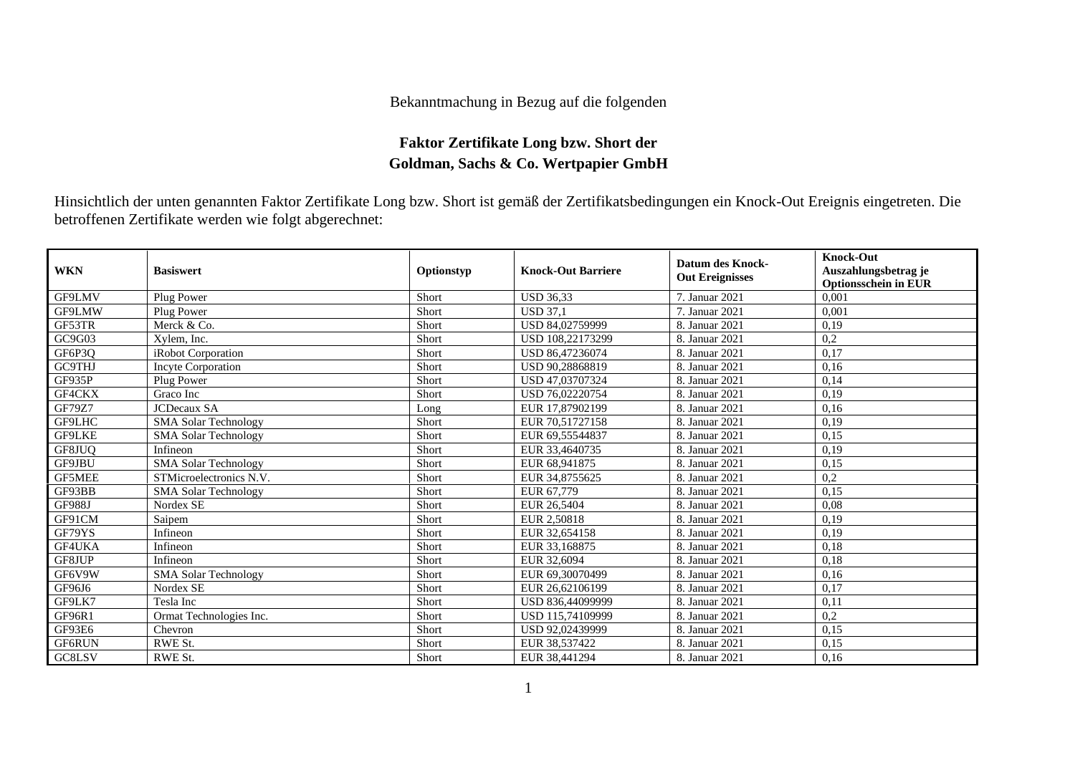## Bekanntmachung in Bezug auf die folgenden

## **Faktor Zertifikate Long bzw. Short der Goldman, Sachs & Co. Wertpapier GmbH**

Hinsichtlich der unten genannten Faktor Zertifikate Long bzw. Short ist gemäß der Zertifikatsbedingungen ein Knock-Out Ereignis eingetreten. Die betroffenen Zertifikate werden wie folgt abgerechnet:

| <b>WKN</b>    | <b>Basiswert</b>            | Optionstyp | <b>Knock-Out Barriere</b> | <b>Datum des Knock-</b><br><b>Out Ereignisses</b> | <b>Knock-Out</b><br>Auszahlungsbetrag je<br><b>Optionsschein in EUR</b> |
|---------------|-----------------------------|------------|---------------------------|---------------------------------------------------|-------------------------------------------------------------------------|
| GF9LMV        | Plug Power                  | Short      | <b>USD 36.33</b>          | 7. Januar 2021                                    | 0.001                                                                   |
| GF9LMW        | Plug Power                  | Short      | <b>USD 37.1</b>           | 7. Januar 2021                                    | 0.001                                                                   |
| GF53TR        | Merck & Co.                 | Short      | USD 84,02759999           | 8. Januar 2021                                    | 0,19                                                                    |
| GC9G03        | Xylem, Inc.                 | Short      | USD 108,22173299          | 8. Januar 2021                                    | 0,2                                                                     |
| GF6P3Q        | iRobot Corporation          | Short      | USD 86,47236074           | 8. Januar 2021                                    | 0,17                                                                    |
| <b>GC9THJ</b> | <b>Incyte Corporation</b>   | Short      | USD 90,28868819           | 8. Januar 2021                                    | 0,16                                                                    |
| GF935P        | Plug Power                  | Short      | USD 47,03707324           | 8. Januar 2021                                    | 0,14                                                                    |
| GF4CKX        | Graco Inc                   | Short      | USD 76,02220754           | 8. Januar 2021                                    | 0.19                                                                    |
| GF79Z7        | <b>JCDecaux SA</b>          | Long       | EUR 17,87902199           | 8. Januar 2021                                    | 0,16                                                                    |
| <b>GF9LHC</b> | <b>SMA Solar Technology</b> | Short      | EUR 70.51727158           | 8. Januar 2021                                    | 0.19                                                                    |
| GF9LKE        | <b>SMA Solar Technology</b> | Short      | EUR 69,55544837           | 8. Januar 2021                                    | 0,15                                                                    |
| GF8JUQ        | Infineon                    | Short      | EUR 33,4640735            | 8. Januar 2021                                    | 0,19                                                                    |
| GF9JBU        | <b>SMA Solar Technology</b> | Short      | EUR 68,941875             | 8. Januar 2021                                    | 0,15                                                                    |
| <b>GF5MEE</b> | STMicroelectronics N.V.     | Short      | EUR 34,8755625            | 8. Januar 2021                                    | 0,2                                                                     |
| GF93BB        | SMA Solar Technology        | Short      | EUR 67.779                | 8. Januar 2021                                    | 0.15                                                                    |
| <b>GF988J</b> | Nordex SE                   | Short      | EUR 26,5404               | 8. Januar 2021                                    | 0,08                                                                    |
| GF91CM        | Saipem                      | Short      | EUR 2.50818               | 8. Januar 2021                                    | 0,19                                                                    |
| GF79YS        | Infineon                    | Short      | EUR 32,654158             | 8. Januar 2021                                    | 0,19                                                                    |
| <b>GF4UKA</b> | Infineon                    | Short      | EUR 33.168875             | 8. Januar 2021                                    | 0,18                                                                    |
| GF8JUP        | Infineon                    | Short      | EUR 32,6094               | 8. Januar 2021                                    | 0,18                                                                    |
| GF6V9W        | <b>SMA Solar Technology</b> | Short      | EUR 69,30070499           | 8. Januar 2021                                    | 0,16                                                                    |
| GF96J6        | Nordex SE                   | Short      | EUR 26,62106199           | 8. Januar 2021                                    | 0,17                                                                    |
| GF9LK7        | Tesla Inc                   | Short      | USD 836,44099999          | 8. Januar 2021                                    | 0,11                                                                    |
| <b>GF96R1</b> | Ormat Technologies Inc.     | Short      | USD 115,74109999          | 8. Januar 2021                                    | 0,2                                                                     |
| GF93E6        | Chevron                     | Short      | USD 92,02439999           | 8. Januar 2021                                    | 0,15                                                                    |
| <b>GF6RUN</b> | RWE St.                     | Short      | EUR 38,537422             | 8. Januar 2021                                    | 0,15                                                                    |
| GC8LSV        | RWE St.                     | Short      | EUR 38,441294             | 8. Januar 2021                                    | 0,16                                                                    |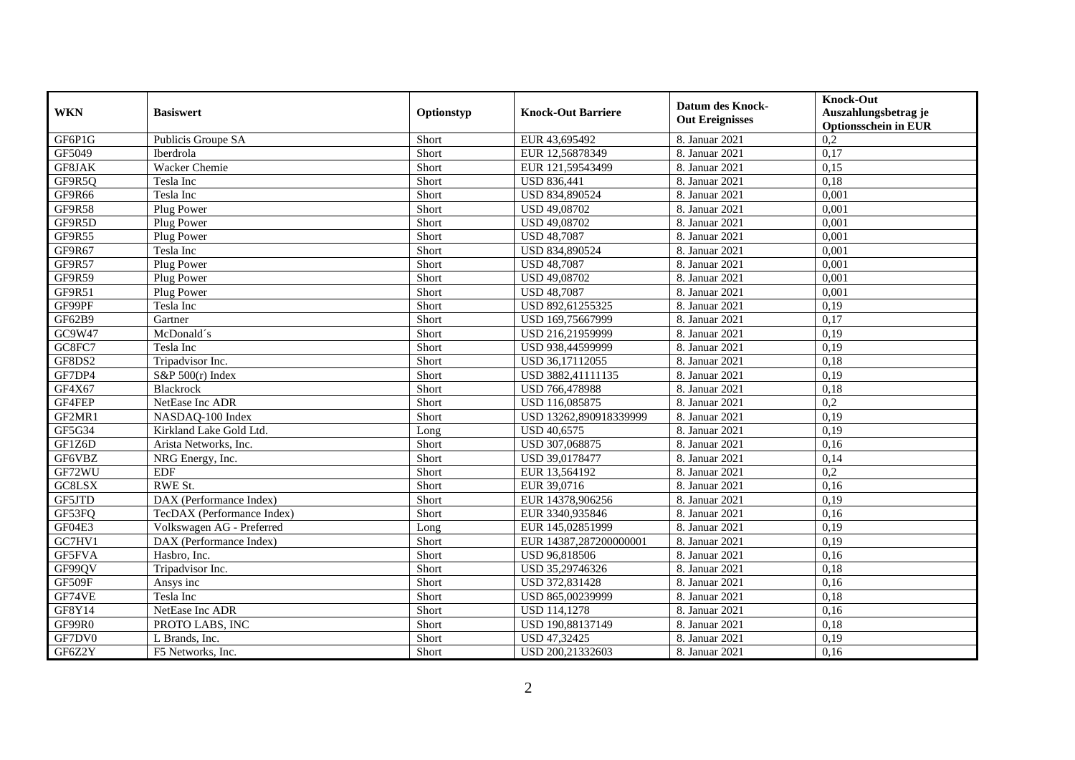| <b>WKN</b>         | <b>Basiswert</b>           | Optionstyp | <b>Knock-Out Barriere</b> | <b>Datum des Knock-</b><br><b>Out Ereignisses</b> | <b>Knock-Out</b><br>Auszahlungsbetrag je<br><b>Optionsschein in EUR</b> |
|--------------------|----------------------------|------------|---------------------------|---------------------------------------------------|-------------------------------------------------------------------------|
| GF6P1G             | Publicis Groupe SA         | Short      | EUR 43,695492             | 8. Januar 2021                                    | 0,2                                                                     |
| GF5049             | Iberdrola                  | Short      | EUR 12,56878349           | 8. Januar 2021                                    | 0,17                                                                    |
| GF8JAK             | Wacker Chemie              | Short      | EUR 121,59543499          | 8. Januar 2021                                    | 0,15                                                                    |
| GF9R5Q             | Tesla Inc                  | Short      | <b>USD 836,441</b>        | 8. Januar 2021                                    | 0,18                                                                    |
| GF9R66             | Tesla Inc                  | Short      | USD 834,890524            | 8. Januar 2021                                    | 0,001                                                                   |
| GF9R58             | Plug Power                 | Short      | USD 49,08702              | 8. Januar 2021                                    | 0,001                                                                   |
| GF9R5D             | Plug Power                 | Short      | USD 49,08702              | 8. Januar 2021                                    | 0,001                                                                   |
| GF9R55             | Plug Power                 | Short      | <b>USD 48,7087</b>        | 8. Januar 2021                                    | 0,001                                                                   |
| GF9R67             | Tesla Inc                  | Short      | USD 834,890524            | 8. Januar 2021                                    | 0,001                                                                   |
| GF9R57             | Plug Power                 | Short      | <b>USD 48,7087</b>        | 8. Januar 2021                                    | 0,001                                                                   |
| GF9R59             | Plug Power                 | Short      | USD 49,08702              | 8. Januar 2021                                    | 0,001                                                                   |
| GF9R51             | Plug Power                 | Short      | <b>USD 48,7087</b>        | 8. Januar 2021                                    | 0,001                                                                   |
| GF99PF             | Tesla Inc                  | Short      | USD 892,61255325          | 8. Januar 2021                                    | 0,19                                                                    |
| GF62B9             | Gartner                    | Short      | USD 169,75667999          | 8. Januar 2021                                    | 0,17                                                                    |
| GC9W47             | McDonald's                 | Short      | USD 216,21959999          | 8. Januar 2021                                    | 0,19                                                                    |
| GC8FC7             | Tesla Inc                  | Short      | USD 938,44599999          | 8. Januar 2021                                    | 0,19                                                                    |
| GF8DS2             | Tripadvisor Inc.           | Short      | USD 36,17112055           | 8. Januar 2021                                    | 0,18                                                                    |
| GF7DP4             | $S\&P 500(r)$ Index        | Short      | USD 3882.41111135         | 8. Januar 2021                                    | 0.19                                                                    |
| GF4X67             | Blackrock                  | Short      | USD 766,478988            | 8. Januar 2021                                    | 0,18                                                                    |
| GF4FEP             | NetEase Inc ADR            | Short      | USD 116,085875            | 8. Januar 2021                                    | 0,2                                                                     |
| GF2MR1             | NASDAQ-100 Index           | Short      | USD 13262,890918339999    | 8. Januar 2021                                    | 0,19                                                                    |
| GF5G34             | Kirkland Lake Gold Ltd.    | Long       | <b>USD 40,6575</b>        | 8. Januar 2021                                    | 0,19                                                                    |
| GF1Z6D             | Arista Networks, Inc.      | Short      | USD 307,068875            | 8. Januar 2021                                    | 0,16                                                                    |
| GF6VBZ             | NRG Energy, Inc.           | Short      | USD 39,0178477            | 8. Januar 2021                                    | 0,14                                                                    |
| GF72WU             | <b>EDF</b>                 | Short      | EUR 13,564192             | 8. Januar 2021                                    | 0,2                                                                     |
| GC8LSX             | RWE St.                    | Short      | EUR 39,0716               | 8. Januar 2021                                    | 0,16                                                                    |
| GF5JTD             | DAX (Performance Index)    | Short      | EUR 14378,906256          | 8. Januar 2021                                    | 0,19                                                                    |
| GF53FQ             | TecDAX (Performance Index) | Short      | EUR 3340,935846           | 8. Januar 2021                                    | 0,16                                                                    |
| GF04E3             | Volkswagen AG - Preferred  | Long       | EUR 145,02851999          | 8. Januar 2021                                    | 0,19                                                                    |
| G <sub>C7HV1</sub> | DAX (Performance Index)    | Short      | EUR 14387,287200000001    | 8. Januar 2021                                    | 0,19                                                                    |
| GF5FVA             | Hasbro, Inc.               | Short      | USD 96,818506             | 8. Januar 2021                                    | 0,16                                                                    |
| GF99QV             | Tripadvisor Inc.           | Short      | USD 35,29746326           | 8. Januar 2021                                    | 0,18                                                                    |
| GF509F             | Ansys inc                  | Short      | USD 372,831428            | 8. Januar 2021                                    | 0,16                                                                    |
| GF74VE             | Tesla Inc                  | Short      | USD 865,00239999          | 8. Januar 2021                                    | 0,18                                                                    |
| GF8Y14             | NetEase Inc ADR            | Short      | <b>USD 114,1278</b>       | 8. Januar 2021                                    | 0,16                                                                    |
| GF99R0             | PROTO LABS, INC            | Short      | USD 190,88137149          | 8. Januar 2021                                    | 0,18                                                                    |
| GF7DV0             | L Brands, Inc.             | Short      | USD 47,32425              | 8. Januar 2021                                    | 0,19                                                                    |
| GF6Z2Y             | F5 Networks, Inc.          | Short      | USD 200,21332603          | 8. Januar 2021                                    | 0,16                                                                    |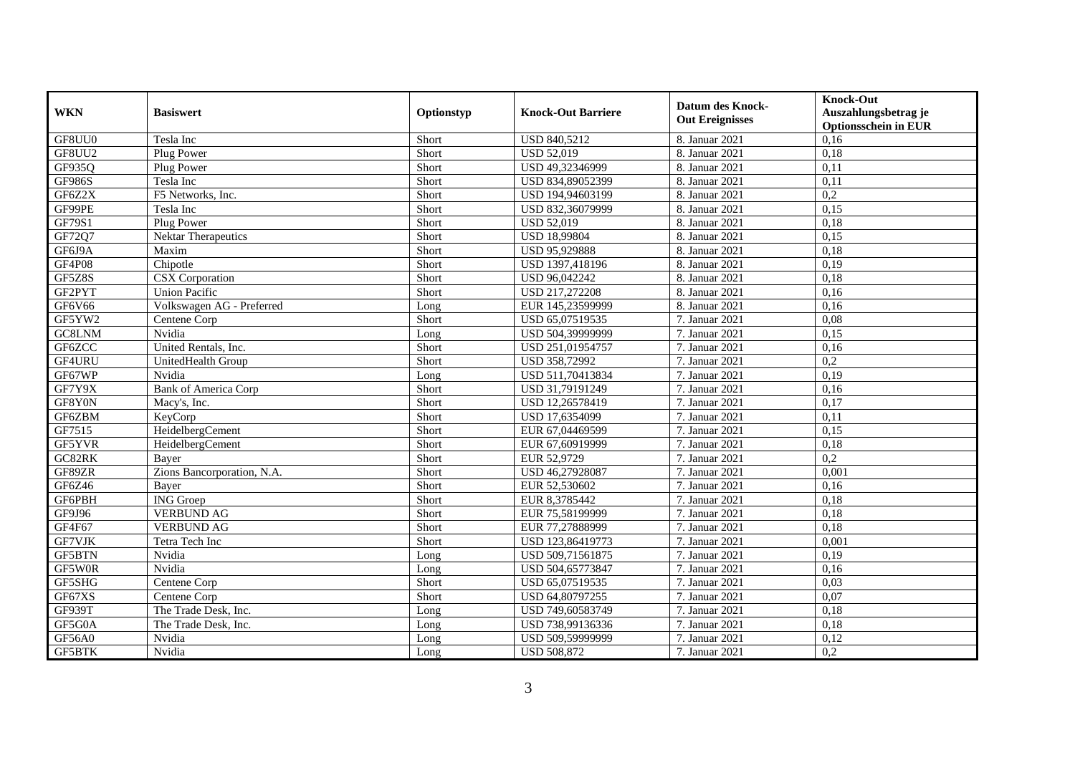| <b>WKN</b>    | <b>Basiswert</b>            | Optionstyp | <b>Knock-Out Barriere</b> | Datum des Knock-<br><b>Out Ereignisses</b> | <b>Knock-Out</b><br>Auszahlungsbetrag je<br><b>Optionsschein in EUR</b> |
|---------------|-----------------------------|------------|---------------------------|--------------------------------------------|-------------------------------------------------------------------------|
| GF8UU0        | Tesla Inc                   | Short      | <b>USD 840,5212</b>       | 8. Januar 2021                             | 0,16                                                                    |
| GF8UU2        | Plug Power                  | Short      | <b>USD 52,019</b>         | 8. Januar 2021                             | 0,18                                                                    |
| GF935Q        | Plug Power                  | Short      | USD 49,32346999           | 8. Januar 2021                             | 0,11                                                                    |
| <b>GF986S</b> | Tesla Inc                   | Short      | USD 834,89052399          | 8. Januar 2021                             | 0,11                                                                    |
| GF6Z2X        | F5 Networks, Inc.           | Short      | USD 194,94603199          | 8. Januar 2021                             | 0,2                                                                     |
| GF99PE        | Tesla Inc                   | Short      | USD 832,36079999          | 8. Januar 2021                             | 0.15                                                                    |
| GF79S1        | Plug Power                  | Short      | <b>USD 52,019</b>         | 8. Januar 2021                             | 0,18                                                                    |
| GF72Q7        | Nektar Therapeutics         | Short      | <b>USD 18,99804</b>       | 8. Januar 2021                             | 0,15                                                                    |
| GF6J9A        | Maxim                       | Short      | USD 95,929888             | 8. Januar 2021                             | 0,18                                                                    |
| GF4P08        | Chipotle                    | Short      | USD 1397,418196           | 8. Januar 2021                             | 0,19                                                                    |
| GF5Z8S        | <b>CSX</b> Corporation      | Short      | USD 96,042242             | 8. Januar 2021                             | 0,18                                                                    |
| GF2PYT        | <b>Union Pacific</b>        | Short      | USD 217,272208            | 8. Januar 2021                             | 0,16                                                                    |
| GF6V66        | Volkswagen AG - Preferred   | Long       | EUR 145,23599999          | 8. Januar 2021                             | 0,16                                                                    |
| GF5YW2        | Centene Corp                | Short      | USD 65,07519535           | 7. Januar 2021                             | 0.08                                                                    |
| GC8LNM        | Nvidia                      | Long       | USD 504,39999999          | 7. Januar 2021                             | 0,15                                                                    |
| GF6ZCC        | United Rentals, Inc.        | Short      | USD 251,01954757          | 7. Januar 2021                             | 0,16                                                                    |
| GF4URU        | UnitedHealth Group          | Short      | USD 358,72992             | 7. Januar 2021                             | $\overline{0.2}$                                                        |
| GF67WP        | Nvidia                      | Long       | USD 511,70413834          | 7. Januar 2021                             | 0,19                                                                    |
| GF7Y9X        | <b>Bank of America Corp</b> | Short      | USD 31,79191249           | 7. Januar 2021                             | 0,16                                                                    |
| GF8Y0N        | Macy's, Inc.                | Short      | USD 12,26578419           | 7. Januar 2021                             | 0,17                                                                    |
| GF6ZBM        | KeyCorp                     | Short      | USD 17,6354099            | 7. Januar 2021                             | 0,11                                                                    |
| GF7515        | HeidelbergCement            | Short      | EUR 67,04469599           | 7. Januar 2021                             | 0.15                                                                    |
| GF5YVR        | HeidelbergCement            | Short      | EUR 67,60919999           | 7. Januar 2021                             | 0,18                                                                    |
| GC82RK        | Baver                       | Short      | EUR 52,9729               | 7. Januar 2021                             | 0,2                                                                     |
| GF89ZR        | Zions Bancorporation, N.A.  | Short      | USD 46,27928087           | 7. Januar 2021                             | 0,001                                                                   |
| GF6Z46        | Bayer                       | Short      | EUR 52,530602             | 7. Januar 2021                             | 0,16                                                                    |
| GF6PBH        | <b>ING</b> Groep            | Short      | EUR 8,3785442             | 7. Januar 2021                             | 0,18                                                                    |
| GF9J96        | <b>VERBUND AG</b>           | Short      | EUR 75,58199999           | 7. Januar 2021                             | 0,18                                                                    |
| GF4F67        | <b>VERBUND AG</b>           | Short      | EUR 77,27888999           | 7. Januar 2021                             | 0,18                                                                    |
| GF7VJK        | Tetra Tech Inc              | Short      | USD 123,86419773          | 7. Januar 2021                             | 0,001                                                                   |
| <b>GF5BTN</b> | Nvidia                      | Long       | USD 509,71561875          | 7. Januar 2021                             | 0,19                                                                    |
| GF5W0R        | Nvidia                      | Long       | USD 504,65773847          | 7. Januar 2021                             | 0,16                                                                    |
| GF5SHG        | Centene Corp                | Short      | USD 65,07519535           | 7. Januar 2021                             | 0.03                                                                    |
| GF67XS        | Centene Corp                | Short      | USD 64,80797255           | 7. Januar 2021                             | 0.07                                                                    |
| GF939T        | The Trade Desk, Inc.        | Long       | USD 749,60583749          | 7. Januar 2021                             | 0,18                                                                    |
| GF5G0A        | The Trade Desk, Inc.        | Long       | USD 738,99136336          | 7. Januar 2021                             | 0,18                                                                    |
| GF56A0        | Nvidia                      | Long       | USD 509,59999999          | 7. Januar 2021                             | 0,12                                                                    |
| GF5BTK        | Nvidia                      | Long       | <b>USD 508,872</b>        | 7. Januar 2021                             | 0,2                                                                     |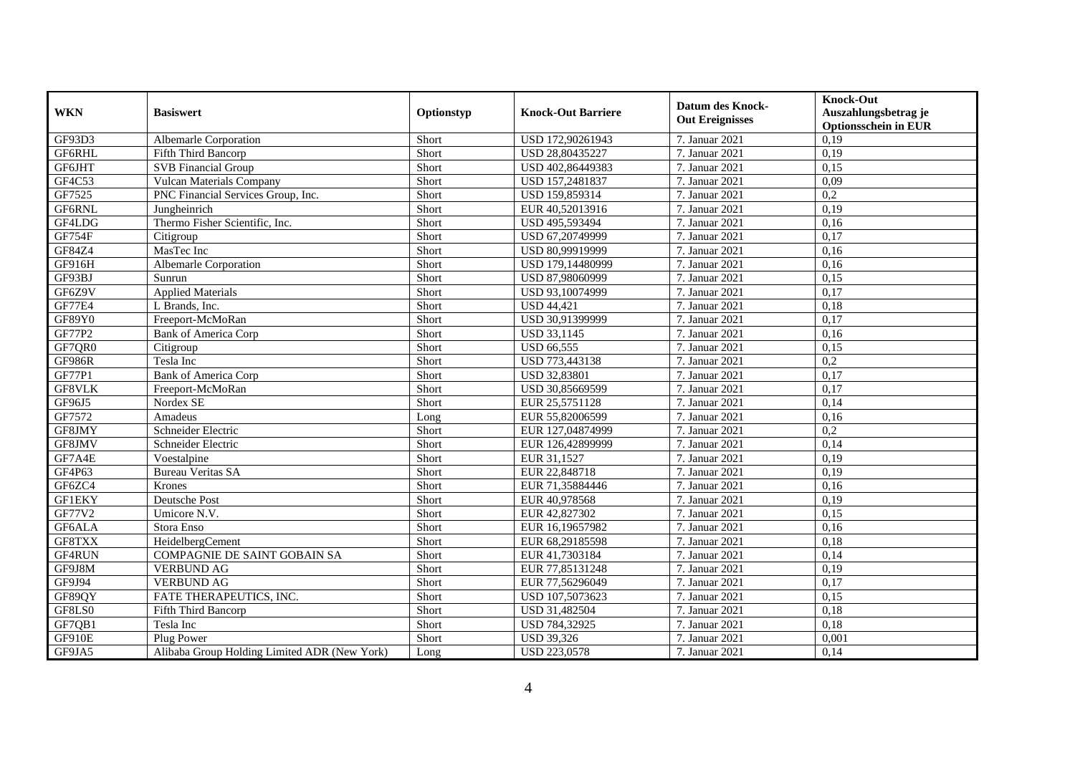| <b>WKN</b>    | <b>Basiswert</b>                             | Optionstyp | <b>Knock-Out Barriere</b> | <b>Datum des Knock-</b><br><b>Out Ereignisses</b> | <b>Knock-Out</b><br>Auszahlungsbetrag je<br><b>Optionsschein in EUR</b> |
|---------------|----------------------------------------------|------------|---------------------------|---------------------------------------------------|-------------------------------------------------------------------------|
| GF93D3        | <b>Albemarle Corporation</b>                 | Short      | USD 172,90261943          | 7. Januar 2021                                    | 0,19                                                                    |
| GF6RHL        | Fifth Third Bancorp                          | Short      | USD 28,80435227           | 7. Januar 2021                                    | 0,19                                                                    |
| GF6JHT        | <b>SVB</b> Financial Group                   | Short      | USD 402,86449383          | 7. Januar 2021                                    | 0,15                                                                    |
| GF4C53        | Vulcan Materials Company                     | Short      | USD 157,2481837           | 7. Januar 2021                                    | 0,09                                                                    |
| GF7525        | PNC Financial Services Group, Inc.           | Short      | USD 159,859314            | 7. Januar 2021                                    | 0,2                                                                     |
| <b>GF6RNL</b> | Jungheinrich                                 | Short      | EUR 40,52013916           | 7. Januar 2021                                    | 0.19                                                                    |
| GF4LDG        | Thermo Fisher Scientific, Inc.               | Short      | USD 495,593494            | 7. Januar 2021                                    | 0,16                                                                    |
| <b>GF754F</b> | Citigroup                                    | Short      | USD 67,20749999           | 7. Januar 2021                                    | 0,17                                                                    |
| GF84Z4        | MasTec Inc                                   | Short      | USD 80,99919999           | 7. Januar 2021                                    | 0,16                                                                    |
| GF916H        | Albemarle Corporation                        | Short      | USD 179,14480999          | 7. Januar 2021                                    | 0,16                                                                    |
| GF93BJ        | Sunrun                                       | Short      | USD 87,98060999           | 7. Januar 2021                                    | 0,15                                                                    |
| GF6Z9V        | <b>Applied Materials</b>                     | Short      | USD 93,10074999           | 7. Januar 2021                                    | 0,17                                                                    |
| GF77E4        | L Brands, Inc.                               | Short      | <b>USD 44,421</b>         | 7. Januar 2021                                    | 0,18                                                                    |
| GF89Y0        | Freeport-McMoRan                             | Short      | USD 30.91399999           | 7. Januar 2021                                    | 0,17                                                                    |
| GF77P2        | <b>Bank of America Corp</b>                  | Short      | <b>USD 33,1145</b>        | 7. Januar 2021                                    | 0,16                                                                    |
| GF7QR0        | Citigroup                                    | Short      | <b>USD 66,555</b>         | 7. Januar 2021                                    | 0,15                                                                    |
| <b>GF986R</b> | Tesla Inc                                    | Short      | USD 773,443138            | 7. Januar 2021                                    | 0,2                                                                     |
| <b>GF77P1</b> | <b>Bank of America Corp</b>                  | Short      | <b>USD 32,83801</b>       | 7. Januar 2021                                    | 0,17                                                                    |
| GF8VLK        | Freeport-McMoRan                             | Short      | USD 30,85669599           | 7. Januar 2021                                    | 0,17                                                                    |
| GF96J5        | Nordex SE                                    | Short      | EUR 25,5751128            | 7. Januar 2021                                    | 0,14                                                                    |
| GF7572        | Amadeus                                      | Long       | EUR 55,82006599           | 7. Januar 2021                                    | 0,16                                                                    |
| GF8JMY        | Schneider Electric                           | Short      | EUR 127,04874999          | 7. Januar 2021                                    | 0,2                                                                     |
| GF8JMV        | Schneider Electric                           | Short      | EUR 126,42899999          | 7. Januar 2021                                    | 0,14                                                                    |
| GF7A4E        | Voestalpine                                  | Short      | EUR 31,1527               | 7. Januar 2021                                    | 0,19                                                                    |
| GF4P63        | <b>Bureau Veritas SA</b>                     | Short      | EUR 22,848718             | 7. Januar 2021                                    | 0.19                                                                    |
| GF6ZC4        | Krones                                       | Short      | EUR 71,35884446           | 7. Januar 2021                                    | 0,16                                                                    |
| <b>GF1EKY</b> | Deutsche Post                                | Short      | EUR 40,978568             | 7. Januar 2021                                    | 0,19                                                                    |
| GF77V2        | Umicore N.V.                                 | Short      | EUR 42,827302             | 7. Januar 2021                                    | 0.15                                                                    |
| GF6ALA        | Stora Enso                                   | Short      | EUR 16,19657982           | 7. Januar 2021                                    | 0,16                                                                    |
| GF8TXX        | HeidelbergCement                             | Short      | EUR 68,29185598           | 7. Januar 2021                                    | 0,18                                                                    |
| GF4RUN        | COMPAGNIE DE SAINT GOBAIN SA                 | Short      | EUR 41,7303184            | 7. Januar 2021                                    | 0,14                                                                    |
| GF9J8M        | <b>VERBUND AG</b>                            | Short      | EUR 77,85131248           | 7. Januar 2021                                    | 0.19                                                                    |
| GF9J94        | <b>VERBUND AG</b>                            | Short      | EUR 77,56296049           | 7. Januar 2021                                    | 0,17                                                                    |
| GF89QY        | FATE THERAPEUTICS, INC.                      | Short      | USD 107,5073623           | 7. Januar 2021                                    | 0,15                                                                    |
| GF8LS0        | Fifth Third Bancorp                          | Short      | USD 31,482504             | 7. Januar 2021                                    | 0,18                                                                    |
| GF7QB1        | Tesla Inc                                    | Short      | USD 784,32925             | 7. Januar 2021                                    | 0,18                                                                    |
| GF910E        | Plug Power                                   | Short      | <b>USD 39,326</b>         | 7. Januar 2021                                    | 0,001                                                                   |
| GF9JA5        | Alibaba Group Holding Limited ADR (New York) | Long       | USD 223,0578              | 7. Januar 2021                                    | 0,14                                                                    |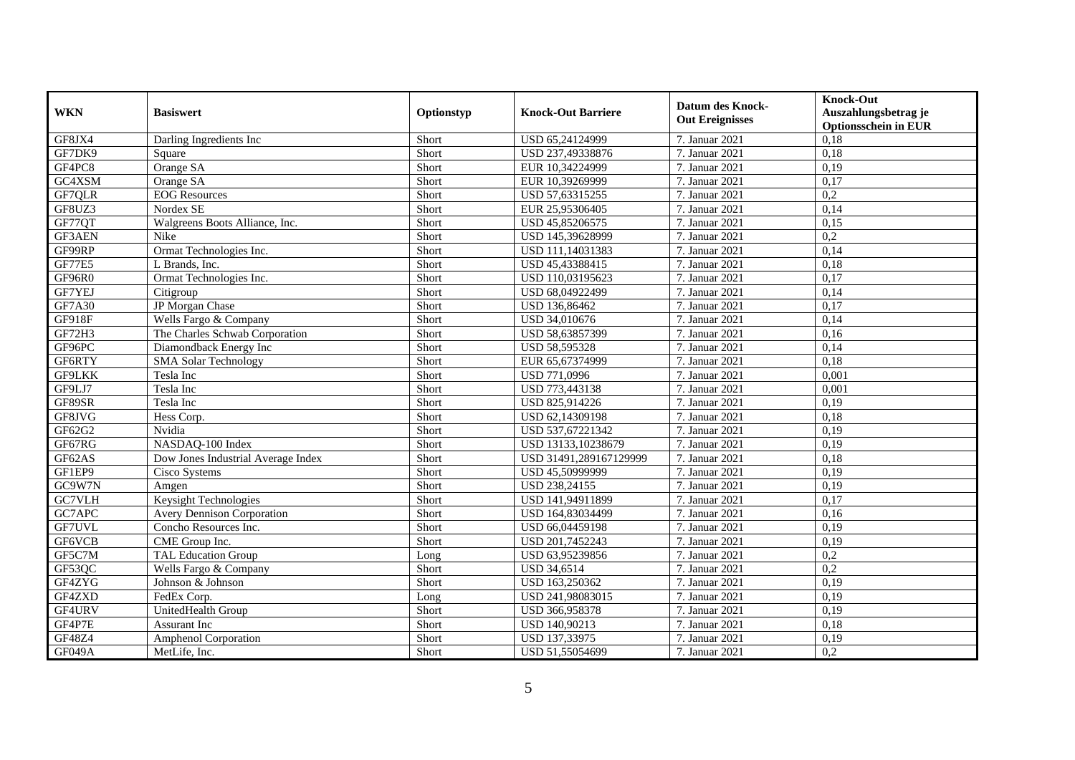| <b>WKN</b>    | <b>Basiswert</b>                   | Optionstyp | <b>Knock-Out Barriere</b> | <b>Datum des Knock-</b><br><b>Out Ereignisses</b> | <b>Knock-Out</b><br>Auszahlungsbetrag je<br><b>Optionsschein in EUR</b> |
|---------------|------------------------------------|------------|---------------------------|---------------------------------------------------|-------------------------------------------------------------------------|
| GF8JX4        | Darling Ingredients Inc.           | Short      | USD 65,24124999           | 7. Januar 2021                                    | 0,18                                                                    |
| GF7DK9        | Square                             | Short      | USD 237,49338876          | 7. Januar 2021                                    | 0,18                                                                    |
| GF4PC8        | Orange SA                          | Short      | EUR 10,34224999           | 7. Januar 2021                                    | 0,19                                                                    |
| GC4XSM        | Orange SA                          | Short      | EUR 10,39269999           | 7. Januar 2021                                    | 0,17                                                                    |
| GF7QLR        | <b>EOG</b> Resources               | Short      | USD 57,63315255           | 7. Januar 2021                                    | 0,2                                                                     |
| GF8UZ3        | Nordex SE                          | Short      | EUR 25,95306405           | 7. Januar 2021                                    | 0,14                                                                    |
| GF77QT        | Walgreens Boots Alliance, Inc.     | Short      | USD 45,85206575           | 7. Januar 2021                                    | 0,15                                                                    |
| GF3AEN        | <b>Nike</b>                        | Short      | USD 145,39628999          | 7. Januar 2021                                    | 0,2                                                                     |
| GF99RP        | Ormat Technologies Inc.            | Short      | USD 111,14031383          | 7. Januar 2021                                    | 0,14                                                                    |
| GF77E5        | L Brands, Inc.                     | Short      | USD 45,43388415           | 7. Januar 2021                                    | 0,18                                                                    |
| GF96R0        | Ormat Technologies Inc.            | Short      | USD 110,03195623          | 7. Januar 2021                                    | 0,17                                                                    |
| GF7YEJ        | Citigroup                          | Short      | USD 68,04922499           | 7. Januar 2021                                    | 0,14                                                                    |
| GF7A30        | JP Morgan Chase                    | Short      | USD 136,86462             | 7. Januar 2021                                    | 0,17                                                                    |
| <b>GF918F</b> | Wells Fargo & Company              | Short      | USD 34,010676             | 7. Januar 2021                                    | 0,14                                                                    |
| GF72H3        | The Charles Schwab Corporation     | Short      | USD 58,63857399           | 7. Januar 2021                                    | 0,16                                                                    |
| GF96PC        | Diamondback Energy Inc             | Short      | <b>USD 58,595328</b>      | 7. Januar 2021                                    | 0,14                                                                    |
| GF6RTY        | <b>SMA Solar Technology</b>        | Short      | EUR 65,67374999           | 7. Januar 2021                                    | 0,18                                                                    |
| <b>GF9LKK</b> | Tesla Inc                          | Short      | <b>USD 771.0996</b>       | 7. Januar 2021                                    | 0,001                                                                   |
| GF9LJ7        | Tesla Inc                          | Short      | USD 773,443138            | 7. Januar 2021                                    | 0,001                                                                   |
| GF89SR        | Tesla Inc                          | Short      | USD 825,914226            | 7. Januar 2021                                    | 0,19                                                                    |
| GF8JVG        | Hess Corp.                         | Short      | USD 62,14309198           | 7. Januar 2021                                    | 0.18                                                                    |
| GF62G2        | Nvidia                             | Short      | USD 537,67221342          | 7. Januar 2021                                    | 0.19                                                                    |
| GF67RG        | NASDAQ-100 Index                   | Short      | USD 13133,10238679        | 7. Januar 2021                                    | 0,19                                                                    |
| GF62AS        | Dow Jones Industrial Average Index | Short      | USD 31491,289167129999    | 7. Januar 2021                                    | 0,18                                                                    |
| GF1EP9        | Cisco Systems                      | Short      | USD 45,50999999           | 7. Januar 2021                                    | 0,19                                                                    |
| GC9W7N        | Amgen                              | Short      | USD 238,24155             | 7. Januar 2021                                    | 0,19                                                                    |
| GC7VLH        | Keysight Technologies              | Short      | USD 141,94911899          | 7. Januar 2021                                    | 0,17                                                                    |
| GC7APC        | <b>Avery Dennison Corporation</b>  | Short      | USD 164,83034499          | 7. Januar 2021                                    | 0,16                                                                    |
| GF7UVL        | Concho Resources Inc.              | Short      | USD 66,04459198           | 7. Januar 2021                                    | 0.19                                                                    |
| GF6VCB        | CME Group Inc.                     | Short      | USD 201,7452243           | 7. Januar 2021                                    | 0,19                                                                    |
| GF5C7M        | <b>TAL Education Group</b>         | Long       | USD 63,95239856           | 7. Januar 2021                                    | 0,2                                                                     |
| GF53QC        | Wells Fargo & Company              | Short      | <b>USD 34,6514</b>        | 7. Januar 2021                                    | 0,2                                                                     |
| GF4ZYG        | Johnson & Johnson                  | Short      | USD 163,250362            | 7. Januar 2021                                    | 0.19                                                                    |
| GF4ZXD        | FedEx Corp.                        | Long       | USD 241,98083015          | 7. Januar 2021                                    | 0,19                                                                    |
| GF4URV        | UnitedHealth Group                 | Short      | USD 366,958378            | 7. Januar 2021                                    | 0,19                                                                    |
| GF4P7E        | <b>Assurant Inc</b>                | Short      | USD 140,90213             | 7. Januar 2021                                    | 0,18                                                                    |
| GF48Z4        | <b>Amphenol Corporation</b>        | Short      | USD 137,33975             | 7. Januar 2021                                    | 0,19                                                                    |
| GF049A        | MetLife, Inc.                      | Short      | USD 51,55054699           | 7. Januar 2021                                    | 0,2                                                                     |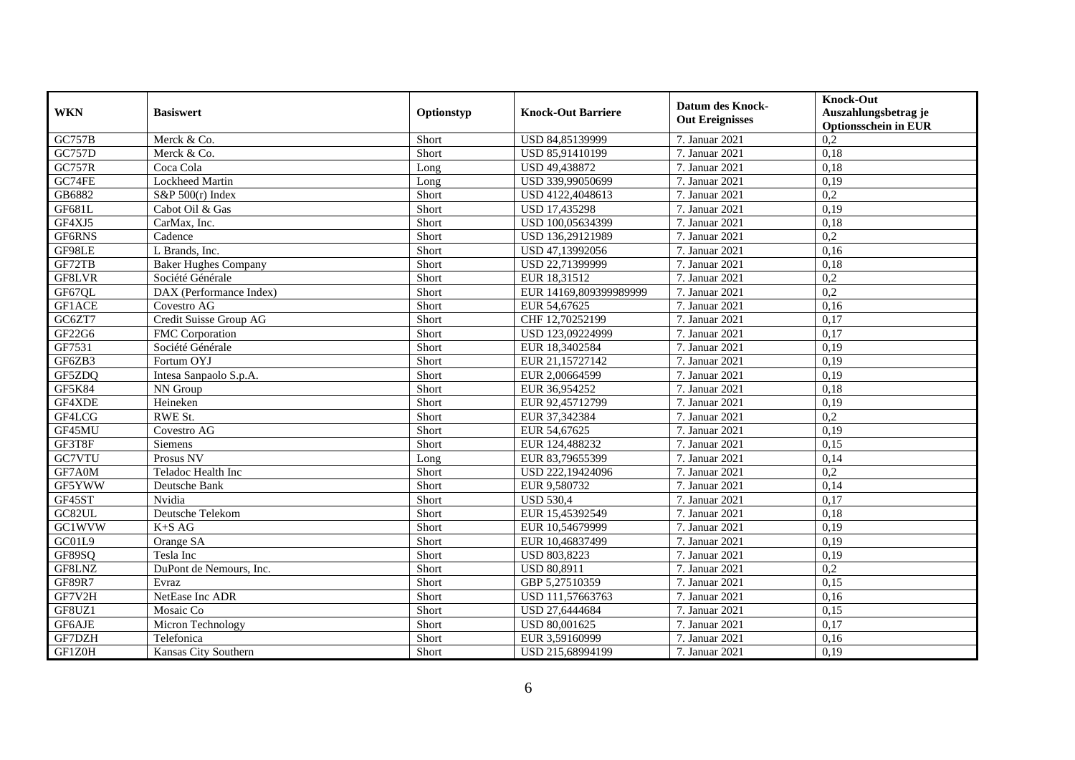| <b>WKN</b>    | <b>Basiswert</b>            | Optionstyp | <b>Knock-Out Barriere</b> | <b>Datum des Knock-</b><br><b>Out Ereignisses</b> | <b>Knock-Out</b><br>Auszahlungsbetrag je<br><b>Optionsschein in EUR</b> |
|---------------|-----------------------------|------------|---------------------------|---------------------------------------------------|-------------------------------------------------------------------------|
| <b>GC757B</b> | Merck & Co.                 | Short      | USD 84,85139999           | 7. Januar 2021                                    | 0,2                                                                     |
| GC757D        | Merck & Co.                 | Short      | USD 85,91410199           | 7. Januar 2021                                    | 0,18                                                                    |
| <b>GC757R</b> | Coca Cola                   | Long       | USD 49,438872             | 7. Januar 2021                                    | 0,18                                                                    |
| GC74FE        | <b>Lockheed Martin</b>      | Long       | USD 339,99050699          | 7. Januar 2021                                    | 0,19                                                                    |
| GB6882        | $S\&P 500(r)$ Index         | Short      | USD 4122,4048613          | 7. Januar 2021                                    | 0,2                                                                     |
| GF681L        | Cabot Oil & Gas             | Short      | USD 17,435298             | 7. Januar 2021                                    | 0,19                                                                    |
| GF4XJ5        | CarMax, Inc.                | Short      | USD 100,05634399          | 7. Januar 2021                                    | 0,18                                                                    |
| GF6RNS        | Cadence                     | Short      | USD 136,29121989          | 7. Januar 2021                                    | 0,2                                                                     |
| GF98LE        | L Brands, Inc.              | Short      | USD 47,13992056           | 7. Januar 2021                                    | 0,16                                                                    |
| GF72TB        | <b>Baker Hughes Company</b> | Short      | USD 22,71399999           | 7. Januar 2021                                    | 0,18                                                                    |
| GF8LVR        | Société Générale            | Short      | EUR 18,31512              | 7. Januar 2021                                    | 0,2                                                                     |
| GF67QL        | DAX (Performance Index)     | Short      | EUR 14169,809399989999    | 7. Januar 2021                                    | 0,2                                                                     |
| GF1ACE        | Covestro AG                 | Short      | EUR 54,67625              | 7. Januar 2021                                    | 0,16                                                                    |
| GC6ZT7        | Credit Suisse Group AG      | Short      | CHF 12,70252199           | 7. Januar 2021                                    | 0,17                                                                    |
| GF22G6        | FMC Corporation             | Short      | USD 123,09224999          | 7. Januar 2021                                    | 0,17                                                                    |
| GF7531        | Société Générale            | Short      | EUR 18,3402584            | 7. Januar 2021                                    | 0,19                                                                    |
| GF6ZB3        | Fortum OYJ                  | Short      | EUR 21,15727142           | 7. Januar 2021                                    | 0,19                                                                    |
| GF5ZDO        | Intesa Sanpaolo S.p.A.      | Short      | EUR 2,00664599            | 7. Januar 2021                                    | 0.19                                                                    |
| <b>GF5K84</b> | NN Group                    | Short      | EUR 36,954252             | 7. Januar 2021                                    | 0,18                                                                    |
| GF4XDE        | Heineken                    | Short      | EUR 92,45712799           | 7. Januar 2021                                    | 0,19                                                                    |
| GF4LCG        | RWE St.                     | Short      | EUR 37,342384             | 7. Januar 2021                                    | $\overline{0.2}$                                                        |
| GF45MU        | Covestro AG                 | Short      | EUR 54,67625              | 7. Januar 2021                                    | 0.19                                                                    |
| GF3T8F        | Siemens                     | Short      | EUR 124,488232            | 7. Januar 2021                                    | 0,15                                                                    |
| GC7VTU        | Prosus NV                   | Long       | EUR 83,79655399           | 7. Januar 2021                                    | 0,14                                                                    |
| GF7A0M        | Teladoc Health Inc          | Short      | USD 222,19424096          | 7. Januar 2021                                    | 0,2                                                                     |
| GF5YWW        | Deutsche Bank               | Short      | EUR 9,580732              | 7. Januar 2021                                    | 0,14                                                                    |
| GF45ST        | Nvidia                      | Short      | <b>USD 530,4</b>          | 7. Januar 2021                                    | 0,17                                                                    |
| GC82UL        | Deutsche Telekom            | Short      | EUR 15,45392549           | 7. Januar 2021                                    | 0,18                                                                    |
| GC1WVW        | $K+SAG$                     | Short      | EUR 10,54679999           | 7. Januar 2021                                    | 0,19                                                                    |
| GC01L9        | Orange SA                   | Short      | EUR 10,46837499           | 7. Januar 2021                                    | 0,19                                                                    |
| GF89SQ        | Tesla Inc                   | Short      | <b>USD 803,8223</b>       | 7. Januar 2021                                    | 0,19                                                                    |
| GF8LNZ        | DuPont de Nemours, Inc.     | Short      | <b>USD 80,8911</b>        | 7. Januar 2021                                    | 0,2                                                                     |
| <b>GF89R7</b> | Evraz                       | Short      | GBP 5,27510359            | 7. Januar 2021                                    | 0.15                                                                    |
| GF7V2H        | NetEase Inc ADR             | Short      | USD 111,57663763          | 7. Januar 2021                                    | 0,16                                                                    |
| GF8UZ1        | Mosaic Co                   | Short      | USD 27,6444684            | 7. Januar 2021                                    | 0,15                                                                    |
| GF6AJE        | Micron Technology           | Short      | USD 80,001625             | 7. Januar 2021                                    | 0,17                                                                    |
| GF7DZH        | Telefonica                  | Short      | EUR 3,59160999            | 7. Januar 2021                                    | 0,16                                                                    |
| GF1Z0H        | Kansas City Southern        | Short      | USD 215,68994199          | 7. Januar 2021                                    | 0,19                                                                    |